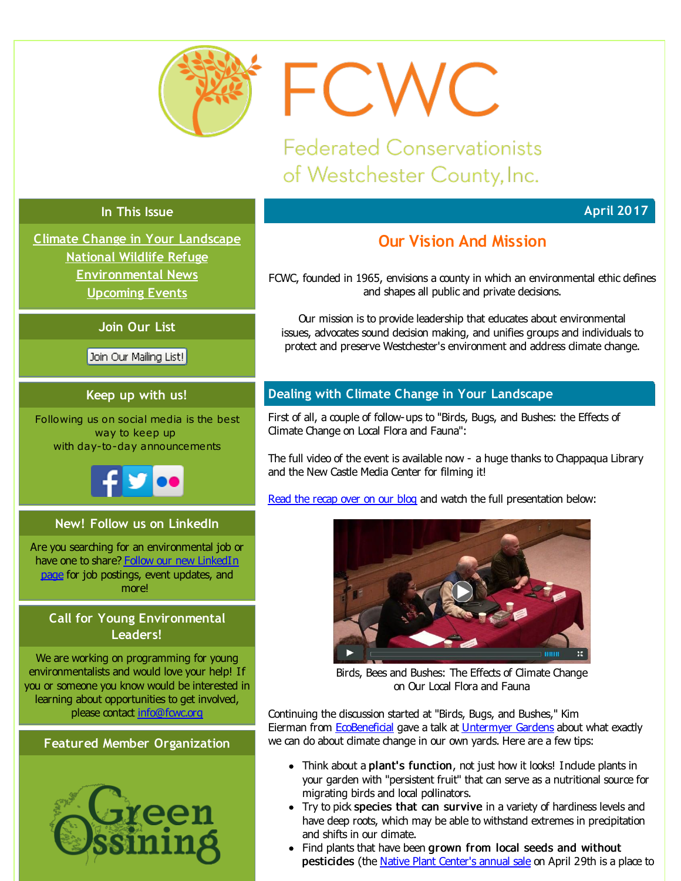<span id="page-0-0"></span>

FCWC

**Federated Conservationists** of Westchester County, Inc.

# **In This Issue**

**Climate Change in Your [Landscape](#page-0-0) [National](#page-0-0) Wildlife Refuge [Environmental](#page-0-0) News [Upcoming](#page-0-0) Events**

# **Join Our List**

Join Our Mailing List!

# **Keep up with us!**

Following us on social media is the best way to keep up with day-to-day announcements



# **New! Follow us on LinkedIn**

Are you searching for an environmental job or have one to share? Follow our new [LinkedIn](http://r20.rs6.net/tn.jsp?f=001-4s3gd71OxR5OhiY50OtYQ7Z0YmnwZp1Xg3WYHTNrIrrrvU4bgA_OLNSFwP5WdYwFxRp26Rl8Z2BYoOPSVt6Ilun40Y06dDbJbHBOgs0KeszWdosezOlKnLbe67tLwXYmgKoyRScoMJtgdOvaknS-e-Z2XtZuhzCfk9UKrfYeaPbJ_gU7pg7QdnSxdYnFv04GSD5nfz0y6u8fpivbe9DrQ==&c=&ch=) page for job postings, event updates, and more!

## **Call for Young Environmental Leaders!**

We are working on programming for young environmentalists and would love your help! If you or someone you know would be interested in learning about opportunities to get involved, please contact [info@fcwc.org](mailto:info@fcwc.org)

## **Featured Member Organization**



# **April 2017**

# **Our Vision And Mission**

FCWC, founded in 1965, envisions a county in which an environmental ethic defines and shapes all public and private decisions.

Our mission is to provide leadership that educates about environmental issues, advocates sound decision making, and unifies groups and individuals to protect and preserve Westchester's environment and address dimate change.

# **Dealing with Climate Change in Your Landscape**

First of all, a couple of follow-ups to "Birds, Bugs, and Bushes: the Effects of Climate Change on Local Flora and Fauna":

The full video of the event is available now - a huge thanks to Chappaqua Library and the New Castle Media Center for filming it!

Read the [recap](http://r20.rs6.net/tn.jsp?f=001-4s3gd71OxR5OhiY50OtYQ7Z0YmnwZp1Xg3WYHTNrIrrrvU4bgA_OCg9T1ugwHgbX9jYSe71rUi01DS2kDrSPF9xNZkT6jYx9p1k4GofHO33jcRXAzJjy8Vw3MBSY65b6gaFKYbOnNs2OhJ4uNCEOBkPTVOT8WClr8AgO8DNY8owEiUOEj_VcGuTnUe7roulnc9J9LHVi3rzPF4C3pmtuuD6Da2BFbOSlpADPnPE_zdiTI75-0RS54ru2i7vhsJYnxarJ8A9X1BejFjkG1U770AnFEvx7HrVcRVtO6hXO2ROLzFspQRGtQ==&c=&ch=) over on our blog and watch the full presentation below:



Birds, Bees and Bushes: The Effects of Climate Change on Our Local Flora and Fauna

Continuing the discussion started at "Birds, Bugs, and Bushes," Kim Eierman from **[EcoBeneficial](http://r20.rs6.net/tn.jsp?f=001-4s3gd71OxR5OhiY50OtYQ7Z0YmnwZp1Xg3WYHTNrIrrrvU4bgA_OBNp6TID2H4mOWiSkc6zpqx_wcC5XBoL57Iovrs8AYuNECAtXMSrI_CSgjLKRcBtYRHOqo8l4WJ8_AEo3ge2yo619F0Y57149w8gRR4addAGANNoSiOA0fPSyeMdTON8Gg==&c=&ch=)** gave a talk at [Untermyer](http://r20.rs6.net/tn.jsp?f=001-4s3gd71OxR5OhiY50OtYQ7Z0YmnwZp1Xg3WYHTNrIrrrvU4bgA_OCirXjkWqxViftiXlAe5XVaTx26xZwQm8-CHKrJ_1bhfsoamrF_5OgFePw7fuwGbsaPihxnxsR4cFajpTKEpnM7tz5jS8eocfWK8oon1AfPzWWKevWgOV39E-lOvnxVqzw==&c=&ch=) Gardens about what exactly we can do about dimate change in our own yards. Here are a few tips:

- Think about a plant's function, not just how it looks! Indude plants in your garden with "persistent fruit" that can serve as a nutritional source for migrating birds and local pollinators.
- Try to pick species that can survive in a variety of hardiness levels and have deep roots, which may be able to withstand extremes in precipitation and shifts in our dimate.
- Find plants that have been grown from local seeds and without pesticides (the Native Plant [Center's](http://r20.rs6.net/tn.jsp?f=001-4s3gd71OxR5OhiY50OtYQ7Z0YmnwZp1Xg3WYHTNrIrrrvU4bgA_OMtOYjSmhch9TzABiBFJP9Ck8BozyhQn-FqeInVnQuf7zJQ5GWHqIYaN5auiY0pAGzF86073GLCNAMY7AjBfwfeKW1mVQLbcvfZVwVrLYzOrgvgKJR72NB3cEgyfNzXS-zYEZsJAqSCJnf-pbWN-z_mnG3MNqB8ZFjcmePplbyS0&c=&ch=) annual sale on April 29th is a place to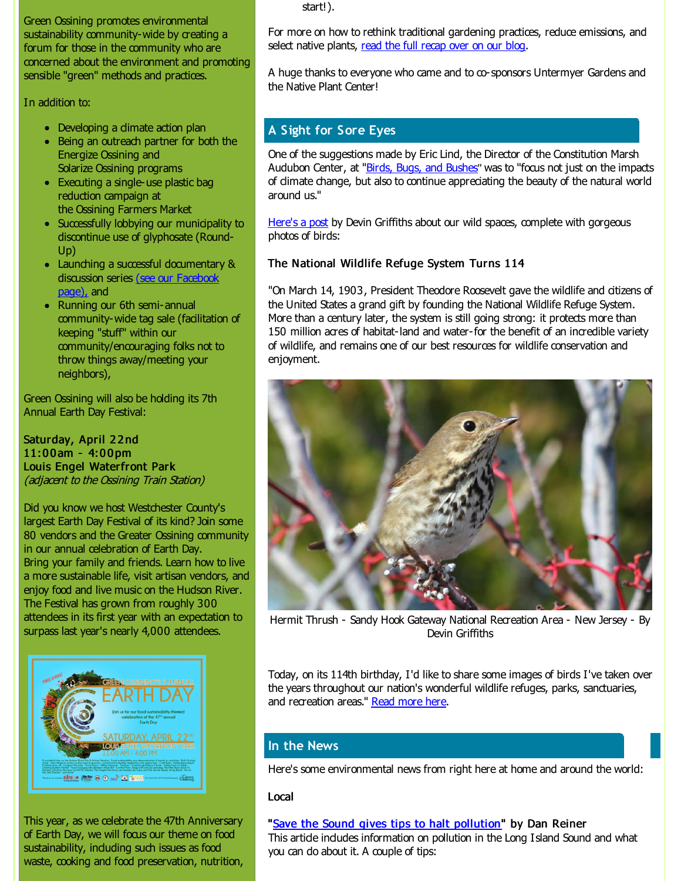Green Ossining promotes environmental sustainability community-wide by creating a forum for those in the community who are concerned about the environment and promoting sensible "green" methods and practices.

In addition to:

- Developing a dimate action plan
- Being an outreach partner for both the Energize Ossining and Solarize Ossining programs
- Executing a single-use plastic bag reduction campaign at the Ossining Farmers Market
- Successfully lobbying our municipality to discontinue use of glyphosate (Round-Up)
- Launching a successful documentary & [discussion](http://r20.rs6.net/tn.jsp?f=001-4s3gd71OxR5OhiY50OtYQ7Z0YmnwZp1Xg3WYHTNrIrrrvU4bgA_OBNp6TID2H4m_xD7GfUg8TJ8sArzG8pOn5Vdbh-YoQivejmDIXS6y2ptm52h91a3u90cevOZ5PFMHAg1hplXofGzIzhuerRIMKQYySJ6eHMfhRaQWDXsUGmegqfSfo_3_02x5RbVWyL3CMQLGFpKs9w=&c=&ch=) series (see our Facebook page), and
- Running our 6th semi-annual community-wide tag sale (facilitation of keeping "stuff" within our community/encouraging folks not to throw things away/meeting your neighbors),

Green Ossining will also be holding its 7th Annual Earth Day Festival:

Saturday, April 22nd 11:0 0 am - 4:0 0 pm Louis Engel Waterfront Park (adjacent to the Ossining Train Station)

Did you know we host Westchester County's largest Earth Day Festival of its kind? Join some 80 vendors and the Greater Ossining community in our annual celebration of Earth Day. Bring your family and friends. Learn how to live a more sustainable life, visit artisan vendors, and enjoy food and live music on the Hudson River. The Festival has grown from roughly 300 attendees in its first year with an expectation to surpass last year's nearly 4,000 attendees.



This year, as we celebrate the 47th Anniversary of Earth Day, we will focus our theme on food sustainability, induding such issues as food waste, cooking and food preservation, nutrition, start!).

For more on how to rethink traditional gardening practices, reduce emissions, and select native plants, read the full [recap](http://r20.rs6.net/tn.jsp?f=001-4s3gd71OxR5OhiY50OtYQ7Z0YmnwZp1Xg3WYHTNrIrrrvU4bgA_OLNSFwP5WdYwEhtAMUWJ4wBrrsTwmL8T1g5b5Pn6vw7jZzPLBMMPLq2_9X_FNRoqZr0d-EJMhLRYEd8FdhV8wxYNJuIVhljn0UAavFbFIh38YJOEQJ7djU9X4KFHOATGt6vdoTUHPymdqr1QimifC_WjYbkPxXTjIRUgHtkXNtZrdrJbgpJvXQcFBjlL0-Cu7p8F1FLSYJz6ZvEASLxjmBY=&c=&ch=) over on our blog.

A huge thanks to everyone who came and to co-sponsors Untermyer Gardens and the Native Plant Center!

# **A Sight for Sore Eyes**

One of the suggestions made by Eric Lind, the Director of the Constitution Marsh Audubon Center, at "Birds, Bugs, and [Bushes](http://r20.rs6.net/tn.jsp?f=001-4s3gd71OxR5OhiY50OtYQ7Z0YmnwZp1Xg3WYHTNrIrrrvU4bgA_OCg9T1ugwHgbX9jYSe71rUi01DS2kDrSPF9xNZkT6jYx9p1k4GofHO33jcRXAzJjy8Vw3MBSY65b6gaFKYbOnNs2OhJ4uNCEOBkPTVOT8WClr8AgO8DNY8owEiUOEj_VcGuTnUe7roulnc9J9LHVi3rzPF4C3pmtuuD6Da2BFbOSlpADPnPE_zdiTI75-0RS54ru2i7vhsJYnxarJ8A9X1BejFjkG1U770AnFEvx7HrVcRVtO6hXO2ROLzFspQRGtQ==&c=&ch=)" was to "focus not just on the impacts of climate change, but also to continue appreciating the beauty of the natural world around us."

[Here's](http://r20.rs6.net/tn.jsp?f=001-4s3gd71OxR5OhiY50OtYQ7Z0YmnwZp1Xg3WYHTNrIrrrvU4bgA_OBNp6TID2H4mn1bsqVzcJ9_a4abAL9wc-f4vRhFAISRDYunm0ooxwWHKeY7r7aUbaWgTThMG7AkHjN3P3f-y3u6wvPbJbgzGe8kXFrGUs1s7AnM0XkbCjqf4sXSHQEOloBQyUcFpZbU0v2K8Be1pgej551scAegNeqilkiUR4ZFfl5b-pm_1RdoqFc0naW79lpYPCQWVbzSMWoMrdv12ShQ=&c=&ch=) a post by Devin Griffiths about our wild spaces, complete with gorgeous photos of birds:

## The National Wildlife Refuge System Turns 114

"On March 14, 1903, President Theodore Roosevelt gave the wildlife and citizens of the United States a grand gift by founding the National Wildlife Refuge System. More than a century later, the system is still going strong: it protects more than 150 million acres of habitat-land and water-for the benefit of an incredible variety of wildlife, and remains one of our best resources for wildlife conservation and enjoyment.



Hermit Thrush - Sandy Hook Gateway National Recreation Area - New Jersey - By Devin Griffiths

Today, on its 114th birthday, I'd like to share some images of birds I've taken over the years throughout our nation's wonderful wildlife refuges, parks, sanctuaries, and recreation areas." Read [more](http://r20.rs6.net/tn.jsp?f=001-4s3gd71OxR5OhiY50OtYQ7Z0YmnwZp1Xg3WYHTNrIrrrvU4bgA_OBNp6TID2H4mn1bsqVzcJ9_a4abAL9wc-f4vRhFAISRDYunm0ooxwWHKeY7r7aUbaWgTThMG7AkHjN3P3f-y3u6wvPbJbgzGe8kXFrGUs1s7AnM0XkbCjqf4sXSHQEOloBQyUcFpZbU0v2K8Be1pgej551scAegNeqilkiUR4ZFfl5b-pm_1RdoqFc0naW79lpYPCQWVbzSMWoMrdv12ShQ=&c=&ch=) here.

## **In the News**

Here's some environmental news from right here at home and around the world:

#### Local

"Save the Sound gives tips to halt [pollution](http://r20.rs6.net/tn.jsp?f=001-4s3gd71OxR5OhiY50OtYQ7Z0YmnwZp1Xg3WYHTNrIrrrvU4bgA_OBNp6TID2H4mS9RPrgxpmCKWjqW_iSm7Q0UKx4LV_oS1T7pKrkUWtqn0GtoXurXMnAtsMKp1iEgO8bDl1Df1QVyeM4sDcHqV7I3rdFS_xg55Yg_aTFr2n4OjmUsuIFqvsF11Wf-tU0aGbImP3yUTLBIatDD_tS9ESxvhqQ26mE2fPLMxvisuoxyKy-jp_8_5v7vpKoZt0OGooID_JcM6xl66F4CJvvQx2IbDrm_M41MPukX35_JV-4w=&c=&ch=)" by Dan Reiner This artide indudes information on pollution in the Long Island Sound and what you can do about it. A couple of tips: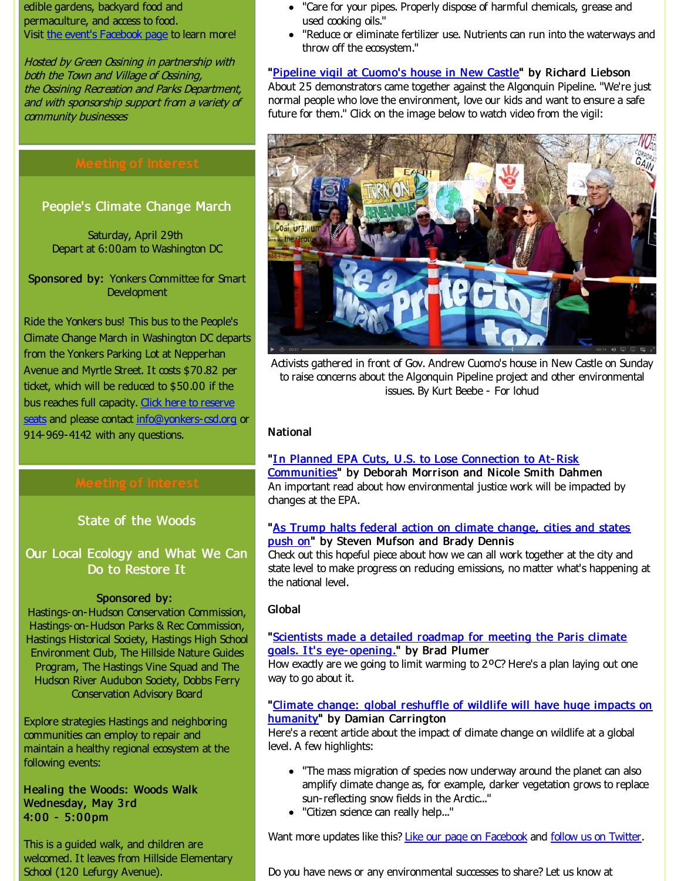edible gardens, backyard food and permaculture, and access to food. Visit the event's [Facebook](http://r20.rs6.net/tn.jsp?f=001-4s3gd71OxR5OhiY50OtYQ7Z0YmnwZp1Xg3WYHTNrIrrrvU4bgA_OBNp6TID2H4mcgeZteqob0l7pYOyKSm58qCqlP0PpurVw0_Zj4O91i63KoMppdqp8KHsd5h7jP_kDwLIgOx_piNasJYaRfq-5qwkqhJipdkIlOPtuiYe1VCoy7AXp1fxdjdKFJQpbbK4RGL_6TMQ9Q64w59z8CHeNw==&c=&ch=) page to learn more!

Hosted by Green Ossining in partnership with both the Town and Village of Ossining, the Ossining Recreation and Parks Department, and with sponsorship support from <sup>a</sup> variety of community businesses

People's Climate Change March

Saturday, April 29th Depart at 6:00am to Washington DC

Sponsored by: Yonkers Committee for Smart **Development** 

Ride the Yonkers bus! This bus to the People's Climate Change March in Washington DC departs from the Yonkers Parking Lot at Nepperhan Avenue and Myrtle Street. It costs \$70.82 per ticket, which will be reduced to \$50.00 if the bus reaches full capacity. Click here to reserve seats and please contact [info@yonkers-csd.or](http://r20.rs6.net/tn.jsp?f=001-4s3gd71OxR5OhiY50OtYQ7Z0YmnwZp1Xg3WYHTNrIrrrvU4bgA_OLNSFwP5WdYwTosDKygv98EZf6ConXP5ZDcvSJEylTFnkarD3MmD1ffmD4qiYXl7d0mRJUroTDSYFEz9Fh2YKNGaBp6stXQl9MB6VJpXFlExUYEYefWgLNjwZyvTDbcxGY-lYQWlSm-jgX-m9E8stJKflkeJo5LuZUfFp2u0D77U&c=&ch=)[g](mailto:info@yonkers-csd.org) or 914-969-4142 with any questions.

State of the Woods

## Our Local Ecology and What We Can Do to Restore It

### Sponsored by:

Hastings-on-Hudson Conservation Commission, Hastings-on-Hudson Parks & Rec Commission, Hastings Historical Society, Hastings High School Environment Club, The Hillside Nature Guides Program, The Hastings Vine Squad and The Hudson River Audubon Society, Dobbs Ferry Conservation Advisory Board

Explore strategies Hastings and neighboring communities can employ to repair and maintain a healthy regional ecosystem at the following events:

Healing the Woods: Woods Walk Wednesday, May 3 rd  $4:00 - 5:00 \text{ pm}$ 

This is a guided walk, and children are welcomed. It leaves from Hillside Elementary School (120 Lefurgy Avenue).

- "Care for your pipes. Properly dispose of harmful chemicals, grease and used cooking oils."
- "Reduce or eliminate fertilizer use. Nutrients can run into the waterways and throw off the ecosystem."

"Pipeline vigil at [Cuomo's](http://r20.rs6.net/tn.jsp?f=001-4s3gd71OxR5OhiY50OtYQ7Z0YmnwZp1Xg3WYHTNrIrrrvU4bgA_OBNp6TID2H4m6cWkttvj9XwWwzWWcWUa_njl5IKmJtGxhuOj4sXFmrguEkEVi5QW96EQhnWZnLXnZoBU66LtLoPhVtEuX6B1A0mmu1T7jtDl2uIurtdj98BNrPFy7Eb1-qLKSQ9E8AZgCPsKDZDUvogVOKMzbl-XyBvkX_lxzbt1H_rBr6q-ChfST9gWoiZgrBuC6BRy8sZ_38tTtw1oshLeJI6bJJpre042ypelfpBir40LgQbOCX75xfTZZrUXiC4aIr6jI16fclj8OwswXpY=&c=&ch=) house in New Castle" by Richard Liebson About 25 demonstrators came together against the Algonquin Pipeline. "We're just normal people who love the environment, love our kids and want to ensure a safe future for them." Click on the image below to watch video from the vigil:



Activists gathered in front of Gov. Andrew Cuomo's house in New Castle on Sunday to raise concerns about the Algonquin Pipeline project and other environmental issues. By Kurt Beebe - For lohud

## **National**

## "In Planned EPA Cuts, U.S. to Lose Connection to At-Risk

[Communities"](http://r20.rs6.net/tn.jsp?f=001-4s3gd71OxR5OhiY50OtYQ7Z0YmnwZp1Xg3WYHTNrIrrrvU4bgA_OBNp6TID2H4mXX1e7aphMShh_amBlLXYNEePla6xBQNiHIYYylve5wn2mvlmaMpM-GkIhLYPAKK8HY2Xz45lXYkVNDWPEJXdQ0ddmibEXPfCetE1Tu3JQG0oTY2WGkbf1r16X-ld2cosZopCDtrEKDv6rRp9tKUF6FnP9oYqU_RZTWOM43wP3QyJjqvldV-2004ZlOWIM19uy8N7IjiVa2fGcQTilD7OKaqAUyLXzfAdoTJbWpvxsX7qloWXqmn4ckRM3VqzkWuV&c=&ch=) by Deborah Morrison and Nicole Smith Dahmen An important read about how environmental justice work will be impacted by changes at the EPA.

### "As Trump halts federal action on climate [change,](http://r20.rs6.net/tn.jsp?f=001-4s3gd71OxR5OhiY50OtYQ7Z0YmnwZp1Xg3WYHTNrIrrrvU4bgA_OBNp6TID2H4my-XrQtcDNmuvKyrRZ5bxzxGjk7mHQx8LXt3Y4ql89PyJWJL1rEEpIXc2PF7oIX69KRnQXQneU8SsLQMgogSFuGjWxAV0fvQnMsL-9B8OTD4Jlwe2dY4cmIfVU_9B5wJt_EPU3LZrqlMucIB8Rz4zcAh0rJvcbIDSynVOOuhQGWsnHSRZQIa2Dqt24F9iCgdqltIKFXx3gdyd5sY_SEmDmpbFJm55WehawiGpxowWI7FB72C9CkAJYiT68zsUXxb2ufI3ze429DIFhGfuD7aF8nSi37hU2Q-k-rBwkQvXSecsFwaxgHd1pUnuQEmYQQnkyZml1p3Y8qUuqGOcVzNGzZFP1IzxdSU2sFAP0CM0xFURNWFXCH6Yl-4Z8rw7GNkV&c=&ch=) cities and states push on" by Steven Mufson and Brady Dennis

Check out this hopeful piece about how we can all work together at the city and state level to make progress on reducing emissions, no matter what's happening at the national level.

### Global

#### ["Scientists](http://r20.rs6.net/tn.jsp?f=001-4s3gd71OxR5OhiY50OtYQ7Z0YmnwZp1Xg3WYHTNrIrrrvU4bgA_OBNp6TID2H4mgk3g4jfGcJJRGeB2PNPe4qKvxxVXxZmAMJ5M1PKRq4FWRNhkcB3KfvA_MkFPPZ47Papt0bV-CxYwTCrSfDBEm-fI_kdrLkB-7ORjT7kWaEmAoYEjRuqv8JHrvW38YGovMliOkCsrrVTbnxxBZvQuX10j0Lp8oAO0b_eqOUaeK4JC16xfaP0cPqndCDlVQSNVle7pQcQTAuQFMtEh8GXHsA==&c=&ch=) made a detailed roadmap for meeting the Paris climate goals. It's eye- opening." by Brad Plumer

How exactly are we going to limit warming to 2ºC? Here's a plan laying out one way to go about it.

### "Climate change: global reshuffle of wildlife will have huge impacts on humanity" by Damian [Carrington](http://r20.rs6.net/tn.jsp?f=001-4s3gd71OxR5OhiY50OtYQ7Z0YmnwZp1Xg3WYHTNrIrrrvU4bgA_OBNp6TID2H4mYgN8wMdVQ81LqZ262TWM5Ldm1T2amHAeAL-67u3OfofYwaN3uBdayHXjX6W5OEf2GnkuRhKSEsW3VF_JHMR8YGqziKMGSsL2VGbi2Bfgubz8Gem9VzoFBqKsw7JeK9yFA_DWBs-A4kT2qimiDiDSEK2zQK82x30zUYphi55K6ldLOk3UlIZyXQQZE9oc4-onAGBmwo5KXH1mLqXYEsVJUEaDW1r8eEESeE3BDPkHVXc4fpOQ6xGB0ydss4A1VR0a043CuZvDNyo=&c=&ch=)

Here's a recent artide about the impact of dimate change on wildlife at a global level. A few highlights:

- "The mass migration of species now underway around the planet can also amplify dimate change as, for example, darker vegetation grows to replace sun-reflecting snow fields in the Arctic..."
- "Citizen science can really help..."

Want more updates like this? Like our page on [Facebook](http://r20.rs6.net/tn.jsp?f=001-4s3gd71OxR5OhiY50OtYQ7Z0YmnwZp1Xg3WYHTNrIrrrvU4bgA_OBNp6TID2H4mnuLeOWj2kWQtJqEzGJUH6vk6DNT3_GvKoeuylPltJW-4rTKhf9B3AssBR6i-b9OkyRdE-cxfVGpmJyc9enVsCLUJLoAFB1qzW5HNs2bAfru67_PzPjrTaZCDH3PIv_zfL6DRd0IzcZITYamvPyyGh4PlYG3qLxwRgBcXOxMy-PnfDmS1fah8n56XIfkor4A5uJ5lOOs6qpLepAlOss2MPA==&c=&ch=) and follow us on [Twitter](http://r20.rs6.net/tn.jsp?f=001-4s3gd71OxR5OhiY50OtYQ7Z0YmnwZp1Xg3WYHTNrIrrrvU4bgA_OJN66Mlt379q3mBxV9_qcNwGquRfUIQQs4Jh6M9LF7dFlmHytCzQRc3UzvteOAIePj3FKGvILyassE4HyR0biOs4_JhRASaW029-tLFC9tosNGQFbgAjJOk=&c=&ch=).

Do you have news or any environmental successes to share? Let us know at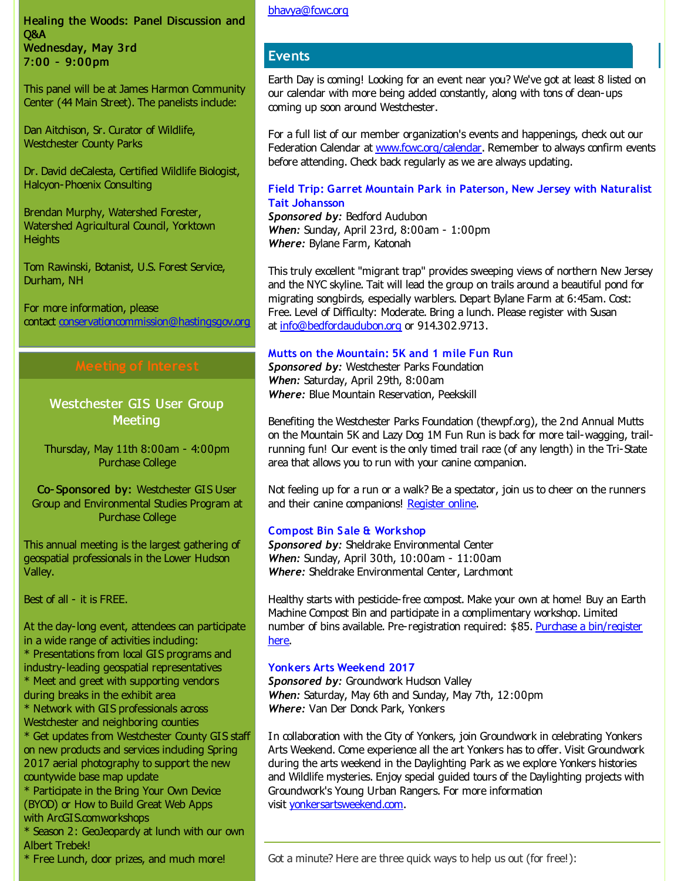Healing the Woods: Panel Discussion and Q&A Wednesday, May 3 rd  $7:00 - 9:00 \text{pm}$ 

This panel will be at James Harmon Community Center (44 Main Street). The panelists indude:

Dan Aitchison, Sr. Curator of Wildlife, Westchester County Parks

Dr. David deCalesta, Certified Wildlife Biologist, Halcyon-Phoenix Consulting

Brendan Murphy, Watershed Forester, Watershed Agricultural Council, Yorktown **Heights** 

Tom Rawinski, Botanist, U.S. Forest Service, Durham, NH

For more information, please contact [conservationcommission@hastingsgov.org](mailto:conservationcommission@hastingsgov.org)

Westchester GIS User Group **Meeting** 

Thursday, May 11th 8:00am - 4:00pm Purchase College

Co- Sponsored by: Westchester GIS User Group and Environmental Studies Program at Purchase College

This annual meeting is the largest gathering of geospatial professionals in the Lower Hudson Valley.

Best of all - it is FREE.

At the day-long event, attendees can participate in a wide range of activities induding: \* Presentations from local GIS programs and industry-leading geospatial representatives \* Meet and greet with supporting vendors during breaks in the exhibit area \* Network with GIS professionals across Westchester and neighboring counties \* Get updates from Westchester County GIS staff on new products and services induding Spring 2017 aerial photography to support the new countywide base map update \* Participate in the Bring Your Own Device

(BYOD) or How to Build Great Web Apps with ArcGIS.comworkshops

\* Season 2: GeoJeopardy at lunch with our own Albert Trebek!

\* Free Lunch, door prizes, and much more!

#### [bhavya@fcwc.org](mailto:bhavya@fcwc.org)

## **Events**

Earth Day is coming! Looking for an event near you? We've got at least 8 listed on our calendar with more being added constantly, along with tons of clean-ups coming up soon around Westchester.

For a full list of our member organization's events and happenings, check out our Federation Calendar at [www.fcwc.org/calendar](http://r20.rs6.net/tn.jsp?f=001-4s3gd71OxR5OhiY50OtYQ7Z0YmnwZp1Xg3WYHTNrIrrrvU4bgA_OCjfF7zLXkLoE2ktt7mF0xi6_TBKZr8H9NbtCMQTXf3kit_9GzS15a5t92IBKFA_P5qXH_SsckP9aZhIhGlpcw3hMG8elhqsmjeZlYkRuFnqfT2TUJwT4E6vPc8psX3h_EaieRNJXYma&c=&ch=). Remember to always confirm events before attending. Check back regularly as we are always updating.

### **Field Trip: Garret Mountain Park in Paterson, New Jersey with Naturalist Tait Johansson**

*Sponsored by:* Bedford Audubon *When:* Sunday, April 23rd, 8:00am - 1:00pm *Where:* Bylane Farm, Katonah

This truly excellent "migrant trap" provides sweeping views of northern New Jersey and the NYC skyline. Tait will lead the group on trails around a beautiful pond for migrating songbirds, especially warblers. Depart Bylane Farm at 6:45am. Cost: Free. Level of Difficulty: Moderate. Bring a lunch. Please register with Susan at [info@bedfordaudubon.org](mailto:info@bedfordaudubon.org) or 914.302.9713.

#### **Mutts on the Mountain: 5K and 1 mile Fun Run**

**Sponsored by: Westchester Parks Foundation** *When:* Saturday, April 29th, 8:00am *Where:* Blue Mountain Reservation, Peekskill

Benefiting the Westchester Parks Foundation (thewpf.org), the 2nd Annual Mutts on the Mountain 5K and Lazy Dog 1M Fun Run is back for more tail-wagging, trailrunning fun! Our event is the only timed trail race (of any length) in the Tri-State area that allows you to run with your canine companion.

Not feeling up for a run or a walk? Be a spectator, join us to cheer on the runners and their canine companions! [Register](http://r20.rs6.net/tn.jsp?f=001-4s3gd71OxR5OhiY50OtYQ7Z0YmnwZp1Xg3WYHTNrIrrrvU4bgA_OBNp6TID2H4m3cYogHhcRqc8Zx9oWogVE7XCXv2EWPlH-nH1S4qTS2ntEEuF1ilcIUcQrwKREU_BQ4bJELbedGWP--CcoigYl1L_RUK61yBQppcc29S3FTXmFqkg-DFsT0Og_I9VYwvi_5xMHovR5xBkRu0a04p0bqgAvTDb8aaupZkqmmILOJldxhIo_XDrdRD1rCKZNahZS5CiR5jh-d_czAE3mm5WwaDPZqEKqwLukXZCkcrPJZ4=&c=&ch=) online.

### **Compost Bin Sale & Workshop**

*Sponsored by:* Sheldrake Environmental Center *When:* Sunday, April 30th, 10:00am - 11:00am *Where:* Sheldrake Environmental Center, Larchmont

Healthy starts with pesticide-free compost. Make your own at home! Buy an Earth Machine Compost Bin and participate in a complimentary workshop. Limited number of bins available. [Pre-registration](http://r20.rs6.net/tn.jsp?f=001-4s3gd71OxR5OhiY50OtYQ7Z0YmnwZp1Xg3WYHTNrIrrrvU4bgA_OBNp6TID2H4mk-kZx8jaN9DQuW5e5lhQMms4eGcnX6yaTAxa6QOtr8dkvd1qN1car-kxM_naaWF4jDA828sJSWofDat4JR59aXRhR66JLC0r0n4km-PZvEvet9IO5IouVorksa18Vm7n35vWorTbNwPrjvRo9wqXCEMj_x8TngUiw8fPNOh9jNo=&c=&ch=) required: \$85. Purchase a bin/register here.

### **Yonkers Arts Weekend 2017**

*Sponsored by:* Groundwork Hudson Valley *When:* Saturday, May 6th and Sunday, May 7th, 12:00pm Where: Van Der Donck Park, Yonkers

In collaboration with the City of Yonkers, join Groundwork in celebrating Yonkers Arts Weekend. Come experience all the art Yonkers has to offer. Visit Groundwork during the arts weekend in the Daylighting Park as we explore Yonkers histories and Wildlife mysteries. Enjoy special guided tours of the Daylighting projects with Groundwork's Young Urban Rangers. For more information visit [yonkersartsweekend.com](http://r20.rs6.net/tn.jsp?f=001-4s3gd71OxR5OhiY50OtYQ7Z0YmnwZp1Xg3WYHTNrIrrrvU4bgA_OBNp6TID2H4mStGthKLoDWhPomtFD19YZhYqYqip88k_nOp5rvdsN8BY4OA2DUG1lperEWXe_MceFqKG63JEAbJvhLXwEgA-7a1jQTsmhc5hIKLho3FNTG2yWjdv7eR4xQ==&c=&ch=).

Got a minute? Here are three quick ways to help us out (for free!):